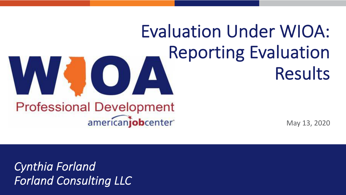# Evaluation Under WIOA: Reporting Evaluation W GY Results

#### **Professional Development** americanjobcenter

May 13, 2020

*Cynthia Forland Forland Consulting LLC*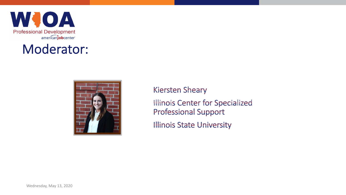WJOA **Professional Development** americanjobcenter

#### Moderator:



**Kiersten Sheary Illinois Center for Specialized Professional Support Illinois State University**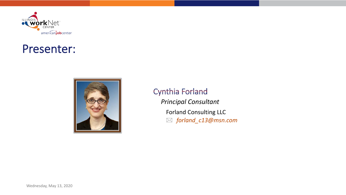

#### Presenter:



**Cynthia Forland** *Principal Consultant* Forland Consulting LLC \* *forland\_c13@msn.com*

Wednesday, May 13, 2020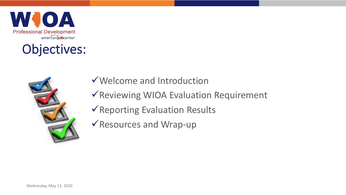

#### Objectives:



- $\checkmark$  Welcome and Introduction
- $\sqrt{\sqrt{2}}$  Reviewing WIOA Evaluation Requirement
- $\sqrt{\mathsf{Reporting}}$  Evaluation Results
- $\sqrt{\mathsf{Resources}}$  and Wrap-up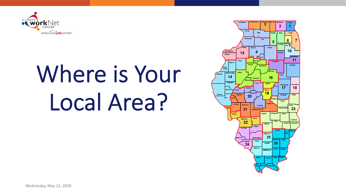

# Where is Your Local Area?

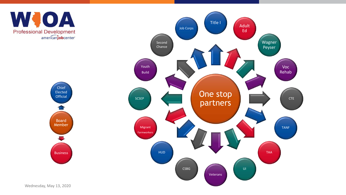

Board Member Chief Elected **Official** Business

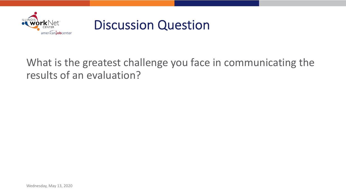

#### Discussion Question

#### What is the greatest challenge you face in communicating the results of an evaluation?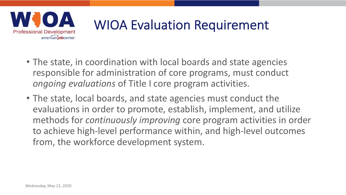

## WIOA Evaluation Requirement

- The state, in coordination with local boards and state agencies responsible for administration of core programs, must conduct *ongoing evaluations* of Title I core program activities.
- The state, local boards, and state agencies must conduct the evaluations in order to promote, establish, implement, and utilize methods for *continuously improving* core program activities in order to achieve high-level performance within, and high-level outcomes from, the workforce development system.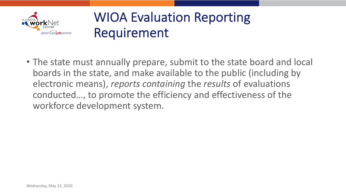

#### WIOA Evaluation Reporting Requirement

• The state must annually prepare, submit to the state board and local boards in the state, and make available to the public (including by electronic means), *reports containing* the *results* of evaluations conducted…, to promote the efficiency and effectiveness of the workforce development system.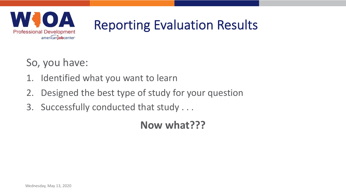

## Reporting Evaluation Results

So, you have:

- 1. Identified what you want to learn
- 2. Designed the best type of study for your question
- 3. Successfully conducted that study . . .

**Now what???**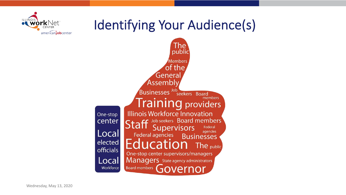### Identifying Your Audience(s)



americaniobcenter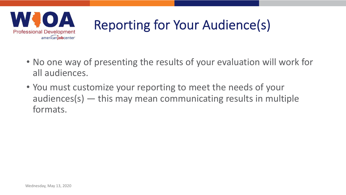

## Reporting for Your Audience(s)

- No one way of presenting the results of your evaluation will work for all audiences.
- You must customize your reporting to meet the needs of your audiences(s) — this may mean communicating results in multiple formats.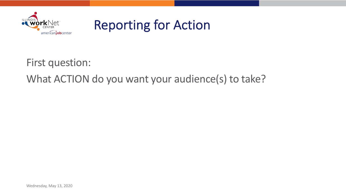

First question:

What ACTION do you want your audience(s) to take?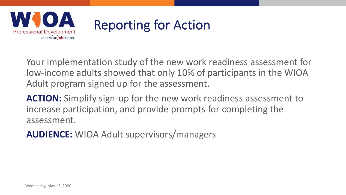

Your implementation study of the new work readiness assessment for low-income adults showed that only 10% of participants in the WIOA Adult program signed up for the assessment.

**ACTION:** Simplify sign-up for the new work readiness assessment to increase participation, and provide prompts for completing the assessment.

**AUDIENCE:** WIOA Adult supervisors/managers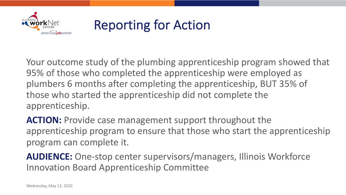

Your outcome study of the plumbing apprenticeship program showed that 95% of those who completed the apprenticeship were employed as plumbers 6 months after completing the apprenticeship, BUT 35% of those who started the apprenticeship did not complete the apprenticeship.

**ACTION:** Provide case management support throughout the apprenticeship program to ensure that those who start the apprenticeship program can complete it.

**AUDIENCE:** One-stop center supervisors/managers, Illinois Workforce Innovation Board Apprenticeship Committee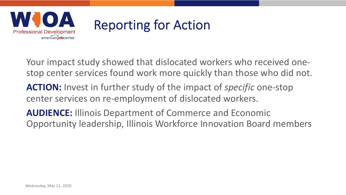

Your impact study showed that dislocated workers who received onestop center services found work more quickly than those who did not.

- **ACTION:** Invest in further study of the impact of *specific* one-stop center services on re-employment of dislocated workers.
- **AUDIENCE:** Illinois Department of Commerce and Economic Opportunity leadership, Illinois Workforce Innovation Board members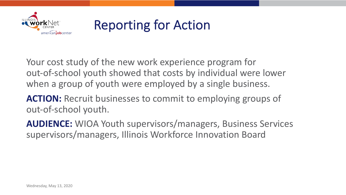

Your cost study of the new work experience program for out-of-school youth showed that costs by individual were lower when a group of youth were employed by a single business.

**ACTION:** Recruit businesses to commit to employing groups of out-of-school youth.

**AUDIENCE:** WIOA Youth supervisors/managers, Business Services supervisors/managers, Illinois Workforce Innovation Board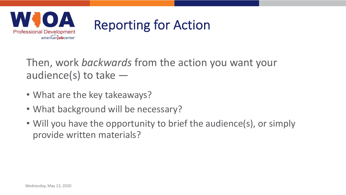

Then, work *backwards* from the action you want your audience(s) to take  $-$ 

- What are the key takeaways?
- What background will be necessary?
- Will you have the opportunity to brief the audience(s), or simply provide written materials?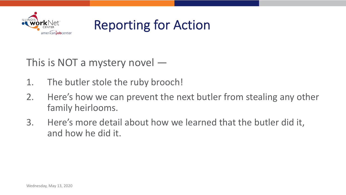

This is NOT a mystery novel —

- 1. The butler stole the ruby brooch!
- 2. Here's how we can prevent the next butler from stealing any other family heirlooms.
- 3. Here's more detail about how we learned that the butler did it, and how he did it.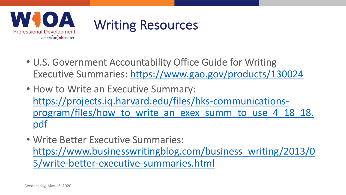

#### Writing Resources

- U.S. Government Accountability Office Guide for Writing Executive Summaries: <https://www.gao.gov/products/130024>
- How to Write an Executive Summary: https://projects.iq.harvard.edu/files/hks-communicationsprogram/files/how to write an exex summ to use 4 18 18. pdf
- Write Better Executive Summaries: [https://www.businesswritingblog.com/business\\_writing/2013/0](https://www.businesswritingblog.com/business_writing/2013/05/write-better-executive-summaries.html) 5/write-better-executive-summaries.html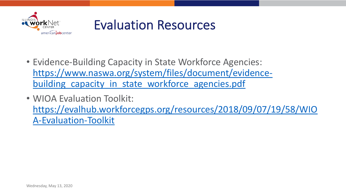

#### Evaluation Resources

- Evidence-Building Capacity in State Workforce Agencies: [https://www.naswa.org/system/files/document/evidence](https://www.naswa.org/system/files/document/evidence-building_capacity_in_state_workforce_agencies.pdf)building capacity in state workforce agencies.pdf
- WIOA Evaluation Toolkit: [https://evalhub.workforcegps.org/resources/2018/09/07/19/58/WIO](https://evalhub.workforcegps.org/resources/2018/09/07/19/58/WIOA-Evaluation-Toolkit) A-Evaluation-Toolkit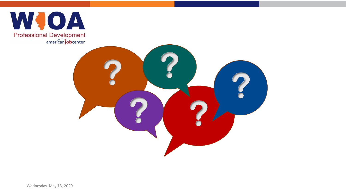

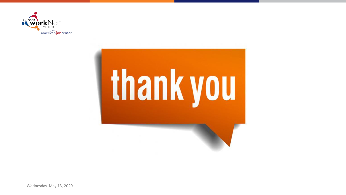



Wednesday, May 13, 2020